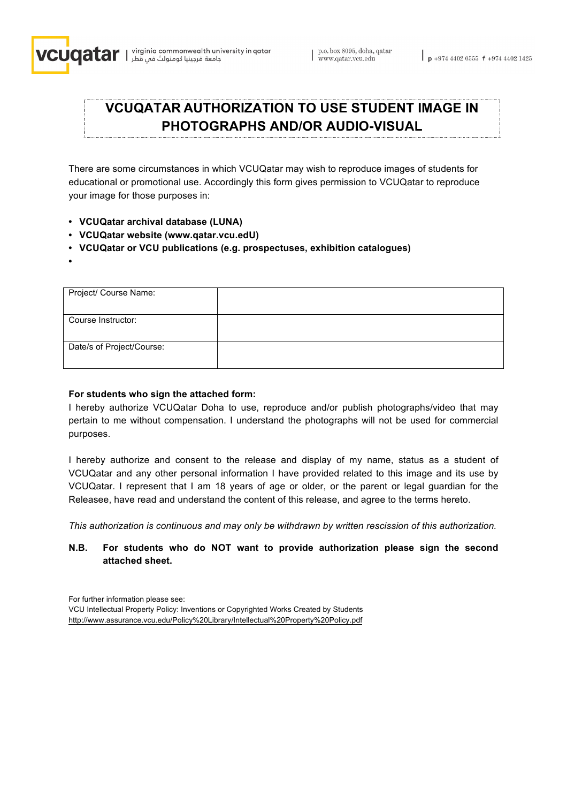

# **VCUQATAR AUTHORIZATION TO USE STUDENT IMAGE IN PHOTOGRAPHS AND/OR AUDIO-VISUAL**

There are some circumstances in which VCUQatar may wish to reproduce images of students for educational or promotional use. Accordingly this form gives permission to VCUQatar to reproduce your image for those purposes in:

- **• VCUQatar archival database (LUNA)**
- **• VCUQatar website (www.qatar.vcu.edU)**
- **• VCUQatar or VCU publications (e.g. prospectuses, exhibition catalogues)**
- **•**

| Project/ Course Name:     |  |
|---------------------------|--|
| Course Instructor:        |  |
| Date/s of Project/Course: |  |

#### **For students who sign the attached form:**

I hereby authorize VCUQatar Doha to use, reproduce and/or publish photographs/video that may pertain to me without compensation. I understand the photographs will not be used for commercial purposes.

I hereby authorize and consent to the release and display of my name, status as a student of VCUQatar and any other personal information I have provided related to this image and its use by VCUQatar. I represent that I am 18 years of age or older, or the parent or legal guardian for the Releasee, have read and understand the content of this release, and agree to the terms hereto.

*This authorization is continuous and may only be withdrawn by written rescission of this authorization.*

## **N.B. For students who do NOT want to provide authorization please sign the second attached sheet.**

For further information please see: VCU Intellectual Property Policy: Inventions or Copyrighted Works Created by Students http://www.assurance.vcu.edu/Policy%20Library/Intellectual%20Property%20Policy.pdf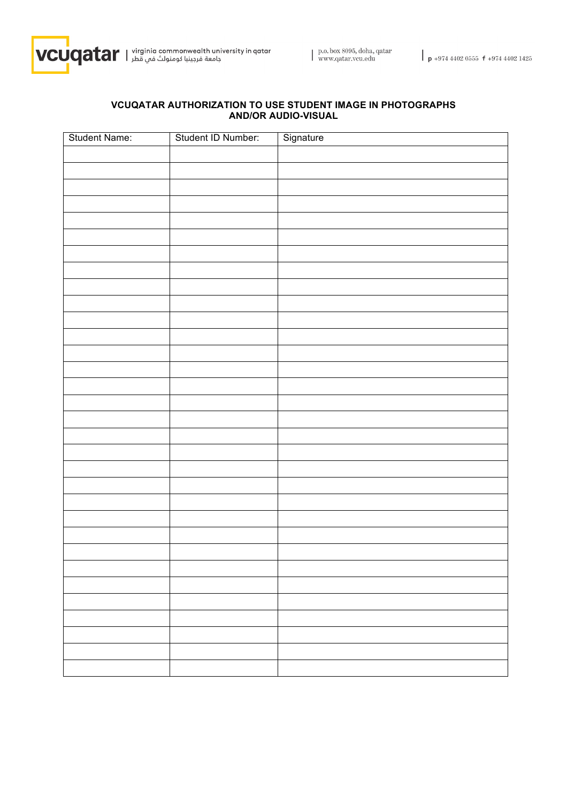

#### **VCUQATAR AUTHORIZATION TO USE STUDENT IMAGE IN PHOTOGRAPHS AND/OR AUDIO-VISUAL**

| Student Name: | Student ID Number: | Signature |
|---------------|--------------------|-----------|
|               |                    |           |
|               |                    |           |
|               |                    |           |
|               |                    |           |
|               |                    |           |
|               |                    |           |
|               |                    |           |
|               |                    |           |
|               |                    |           |
|               |                    |           |
|               |                    |           |
|               |                    |           |
|               |                    |           |
|               |                    |           |
|               |                    |           |
|               |                    |           |
|               |                    |           |
|               |                    |           |
|               |                    |           |
|               |                    |           |
|               |                    |           |
|               |                    |           |
|               |                    |           |
|               |                    |           |
|               |                    |           |
|               |                    |           |
|               |                    |           |
|               |                    |           |
|               |                    |           |
|               |                    |           |
|               |                    |           |
|               |                    |           |